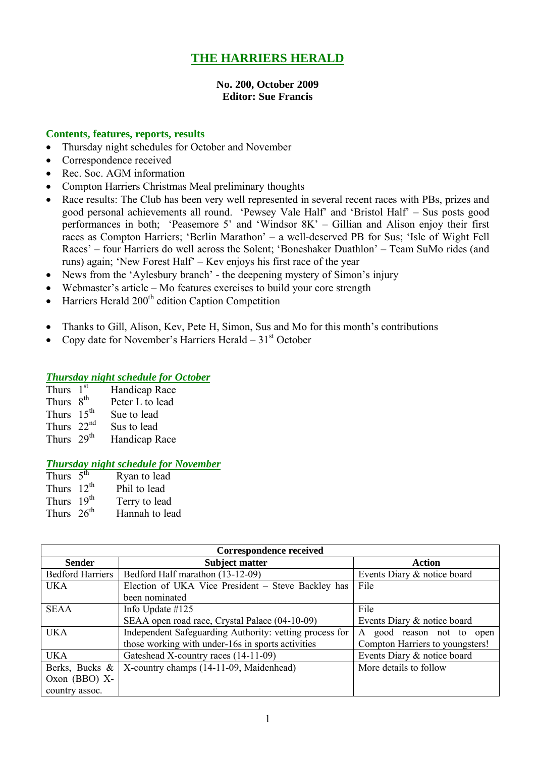# **THE HARRIERS HERALD**

## **No. 200, October 2009 Editor: Sue Francis**

## **Contents, features, reports, results**

- Thursday night schedules for October and November
- Correspondence received
- Rec. Soc. AGM information
- Compton Harriers Christmas Meal preliminary thoughts
- Race results: The Club has been very well represented in several recent races with PBs, prizes and good personal achievements all round. 'Pewsey Vale Half' and 'Bristol Half' – Sus posts good performances in both; 'Peasemore 5' and 'Windsor 8K' – Gillian and Alison enjoy their first races as Compton Harriers; 'Berlin Marathon' – a well-deserved PB for Sus; 'Isle of Wight Fell Races' – four Harriers do well across the Solent; 'Boneshaker Duathlon' – Team SuMo rides (and runs) again; 'New Forest Half' – Kev enjoys his first race of the year
- News from the 'Aylesbury branch' the deepening mystery of Simon's injury
- Webmaster's article Mo features exercises to build your core strength
- Harriers Herald 200<sup>th</sup> edition Caption Competition
- Thanks to Gill, Alison, Kev, Pete H, Simon, Sus and Mo for this month's contributions
- Copy date for November's Harriers Herald  $31<sup>st</sup>$  October

#### *Thursday night schedule for October*

| Handicap Race                                                                                  |
|------------------------------------------------------------------------------------------------|
| Peter L to lead                                                                                |
| Sue to lead                                                                                    |
| Sus to lead                                                                                    |
| Handicap Race                                                                                  |
| Thurs $1st$<br>Thurs 8 <sup>th</sup><br>Thurs $15th$<br>Thurs $22nd$<br>Thurs 29 <sup>th</sup> |

#### *Thursday night schedule for November*

| Thurs $\overline{5^{th}}$ | Ryan to lead   |
|---------------------------|----------------|
| Thurs $12^{th}$           | Phil to lead   |
| Thurs 19th                | Terry to lead  |
| Thurs $26th$              | Hannah to lead |

| Correspondence received |                                                         |                                 |  |  |
|-------------------------|---------------------------------------------------------|---------------------------------|--|--|
| <b>Sender</b>           | <b>Subject matter</b>                                   | <b>Action</b>                   |  |  |
| <b>Bedford Harriers</b> | Bedford Half marathon (13-12-09)                        | Events Diary & notice board     |  |  |
| <b>UKA</b>              | Election of UKA Vice President - Steve Backley has      | File                            |  |  |
|                         | been nominated                                          |                                 |  |  |
| <b>SEAA</b>             | Info Update $#125$                                      | File                            |  |  |
|                         | SEAA open road race, Crystal Palace (04-10-09)          | Events Diary & notice board     |  |  |
| <b>UKA</b>              | Independent Safeguarding Authority: vetting process for | good reason not to open<br>A    |  |  |
|                         | those working with under-16s in sports activities       | Compton Harriers to youngsters! |  |  |
| <b>UKA</b>              | Gateshead X-country races (14-11-09)                    | Events Diary & notice board     |  |  |
| Berks, Bucks &          | X-country champs (14-11-09, Maidenhead)                 | More details to follow          |  |  |
| Oxon $(BBO)$ X-         |                                                         |                                 |  |  |
| country assoc.          |                                                         |                                 |  |  |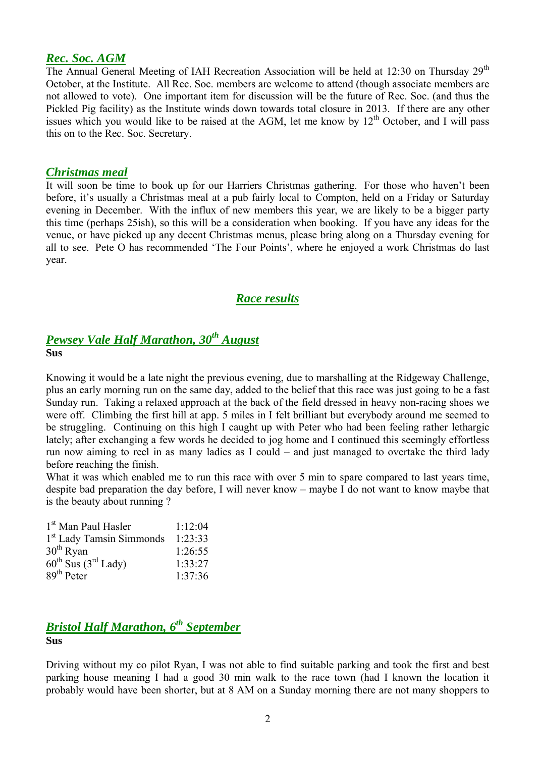# *Rec. Soc. AGM*

The Annual General Meeting of IAH Recreation Association will be held at 12:30 on Thursday  $29<sup>th</sup>$ October, at the Institute. All Rec. Soc. members are welcome to attend (though associate members are not allowed to vote). One important item for discussion will be the future of Rec. Soc. (and thus the Pickled Pig facility) as the Institute winds down towards total closure in 2013. If there are any other issues which you would like to be raised at the AGM, let me know by  $12<sup>th</sup>$  October, and I will pass this on to the Rec. Soc. Secretary.

## *Christmas meal*

It will soon be time to book up for our Harriers Christmas gathering. For those who haven't been before, it's usually a Christmas meal at a pub fairly local to Compton, held on a Friday or Saturday evening in December. With the influx of new members this year, we are likely to be a bigger party this time (perhaps 25ish), so this will be a consideration when booking. If you have any ideas for the venue, or have picked up any decent Christmas menus, please bring along on a Thursday evening for all to see. Pete O has recommended 'The Four Points', where he enjoyed a work Christmas do last year.

# *Race results*

# *Pewsey Vale Half Marathon, 30th August* **Sus**

Knowing it would be a late night the previous evening, due to marshalling at the Ridgeway Challenge, plus an early morning run on the same day, added to the belief that this race was just going to be a fast Sunday run. Taking a relaxed approach at the back of the field dressed in heavy non-racing shoes we were off. Climbing the first hill at app. 5 miles in I felt brilliant but everybody around me seemed to be struggling. Continuing on this high I caught up with Peter who had been feeling rather lethargic lately; after exchanging a few words he decided to jog home and I continued this seemingly effortless run now aiming to reel in as many ladies as I could – and just managed to overtake the third lady before reaching the finish.

What it was which enabled me to run this race with over 5 min to spare compared to last years time, despite bad preparation the day before, I will never know – maybe I do not want to know maybe that is the beauty about running ?

| 1 <sup>st</sup> Man Paul Hasler             | 1:12:04 |
|---------------------------------------------|---------|
| 1 <sup>st</sup> Lady Tamsin Simmonds        | 1:23:33 |
| 30 <sup>th</sup> Ryan                       | 1:26:55 |
| $60^{\text{th}}$ Sus $(3^{\text{rd}}$ Lady) | 1:33:27 |
| $89th$ Peter                                | 1:37:36 |

## *Bristol Half Marathon, 6 th September* **Sus**

Driving without my co pilot Ryan, I was not able to find suitable parking and took the first and best parking house meaning I had a good 30 min walk to the race town (had I known the location it probably would have been shorter, but at 8 AM on a Sunday morning there are not many shoppers to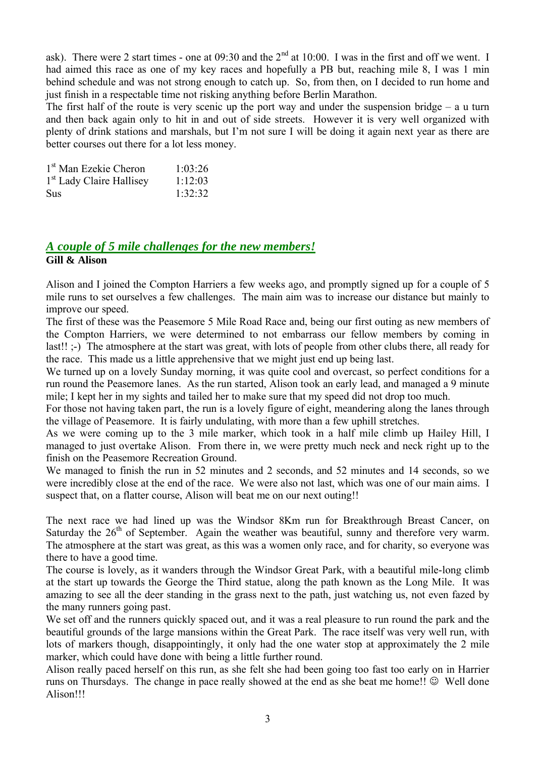ask). There were 2 start times - one at  $0.0930$  and the  $2<sup>nd</sup>$  at 10:00. I was in the first and off we went. I had aimed this race as one of my key races and hopefully a PB but, reaching mile 8, I was 1 min behind schedule and was not strong enough to catch up. So, from then, on I decided to run home and just finish in a respectable time not risking anything before Berlin Marathon.

The first half of the route is very scenic up the port way and under the suspension bridge  $-$  a u turn and then back again only to hit in and out of side streets. However it is very well organized with plenty of drink stations and marshals, but I'm not sure I will be doing it again next year as there are better courses out there for a lot less money.

| 1 <sup>st</sup> Man Ezekie Cheron    | 1:03:26 |
|--------------------------------------|---------|
| 1 <sup>st</sup> Lady Claire Hallisey | 1:12:03 |
| <b>Sus</b>                           | 1:32:32 |

# *A couple of 5 mile challenges for the new members!* **Gill & Alison**

Alison and I joined the Compton Harriers a few weeks ago, and promptly signed up for a couple of 5 mile runs to set ourselves a few challenges. The main aim was to increase our distance but mainly to improve our speed.

The first of these was the Peasemore 5 Mile Road Race and, being our first outing as new members of the Compton Harriers, we were determined to not embarrass our fellow members by coming in last!! ;-) The atmosphere at the start was great, with lots of people from other clubs there, all ready for the race. This made us a little apprehensive that we might just end up being last.

We turned up on a lovely Sunday morning, it was quite cool and overcast, so perfect conditions for a run round the Peasemore lanes. As the run started, Alison took an early lead, and managed a 9 minute mile; I kept her in my sights and tailed her to make sure that my speed did not drop too much.

For those not having taken part, the run is a lovely figure of eight, meandering along the lanes through the village of Peasemore. It is fairly undulating, with more than a few uphill stretches.

As we were coming up to the 3 mile marker, which took in a half mile climb up Hailey Hill, I managed to just overtake Alison. From there in, we were pretty much neck and neck right up to the finish on the Peasemore Recreation Ground.

We managed to finish the run in 52 minutes and 2 seconds, and 52 minutes and 14 seconds, so we were incredibly close at the end of the race. We were also not last, which was one of our main aims. I suspect that, on a flatter course, Alison will beat me on our next outing!!

The next race we had lined up was the Windsor 8Km run for Breakthrough Breast Cancer, on Saturday the  $26<sup>th</sup>$  of September. Again the weather was beautiful, sunny and therefore very warm. The atmosphere at the start was great, as this was a women only race, and for charity, so everyone was there to have a good time.

The course is lovely, as it wanders through the Windsor Great Park, with a beautiful mile-long climb at the start up towards the George the Third statue, along the path known as the Long Mile. It was amazing to see all the deer standing in the grass next to the path, just watching us, not even fazed by the many runners going past.

We set off and the runners quickly spaced out, and it was a real pleasure to run round the park and the beautiful grounds of the large mansions within the Great Park. The race itself was very well run, with lots of markers though, disappointingly, it only had the one water stop at approximately the 2 mile marker, which could have done with being a little further round.

Alison really paced herself on this run, as she felt she had been going too fast too early on in Harrier runs on Thursdays. The change in pace really showed at the end as she beat me home!!  $\odot$  Well done Alison!!!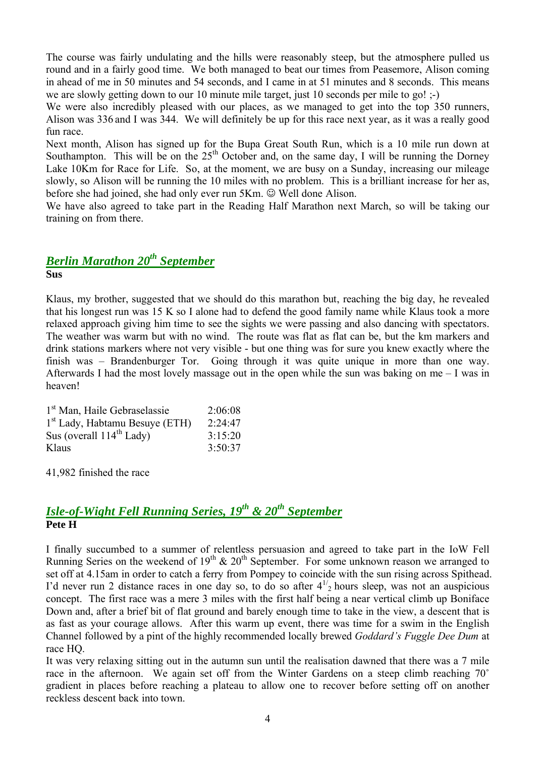The course was fairly undulating and the hills were reasonably steep, but the atmosphere pulled us round and in a fairly good time. We both managed to beat our times from Peasemore, Alison coming in ahead of me in 50 minutes and 54 seconds, and I came in at 51 minutes and 8 seconds. This means we are slowly getting down to our 10 minute mile target, just 10 seconds per mile to go! :-)

We were also incredibly pleased with our places, as we managed to get into the top 350 runners, Alison was 336 and I was 344. We will definitely be up for this race next year, as it was a really good fun race.

Next month, Alison has signed up for the Bupa Great South Run, which is a 10 mile run down at Southampton. This will be on the  $25<sup>th</sup>$  October and, on the same day, I will be running the Dorney Lake 10Km for Race for Life. So, at the moment, we are busy on a Sunday, increasing our mileage slowly, so Alison will be running the 10 miles with no problem. This is a brilliant increase for her as, before she had joined, she had only ever run  $5Km$ .  $\odot$  Well done Alison.

We have also agreed to take part in the Reading Half Marathon next March, so will be taking our training on from there.

# *Berlin Marathon 20th September*

**Sus**

Klaus, my brother, suggested that we should do this marathon but, reaching the big day, he revealed that his longest run was 15 K so I alone had to defend the good family name while Klaus took a more relaxed approach giving him time to see the sights we were passing and also dancing with spectators. The weather was warm but with no wind. The route was flat as flat can be, but the km markers and drink stations markers where not very visible - but one thing was for sure you knew exactly where the finish was – Brandenburger Tor. Going through it was quite unique in more than one way. Afterwards I had the most lovely massage out in the open while the sun was baking on me – I was in heaven!

| 1 <sup>st</sup> Man, Haile Gebraselassie | 2:06:08 |
|------------------------------------------|---------|
| $1st$ Lady, Habtamu Besuye (ETH)         | 2:24:47 |
| Sus (overall $114^{th}$ Lady)            | 3:15:20 |
| Klaus                                    | 3:50:37 |

41,982 finished the race

# *Isle-of-Wight Fell Running Series, 19th & 20 th September* **Pete H**

I finally succumbed to a summer of relentless persuasion and agreed to take part in the IoW Fell Running Series on the weekend of  $19<sup>th</sup> \& 20<sup>th</sup>$  September. For some unknown reason we arranged to set off at 4.15am in order to catch a ferry from Pompey to coincide with the sun rising across Spithead. I'd never run 2 distance races in one day so, to do so after  $4^{1/2}$  hours sleep, was not an auspicious concept. The first race was a mere 3 miles with the first half being a near vertical climb up Boniface Down and, after a brief bit of flat ground and barely enough time to take in the view, a descent that is as fast as your courage allows. After this warm up event, there was time for a swim in the English Channel followed by a pint of the highly recommended locally brewed *Goddard's Fuggle Dee Dum* at race HQ.

It was very relaxing sitting out in the autumn sun until the realisation dawned that there was a 7 mile race in the afternoon. We again set off from the Winter Gardens on a steep climb reaching 70° gradient in places before reaching a plateau to allow one to recover before setting off on another reckless descent back into town.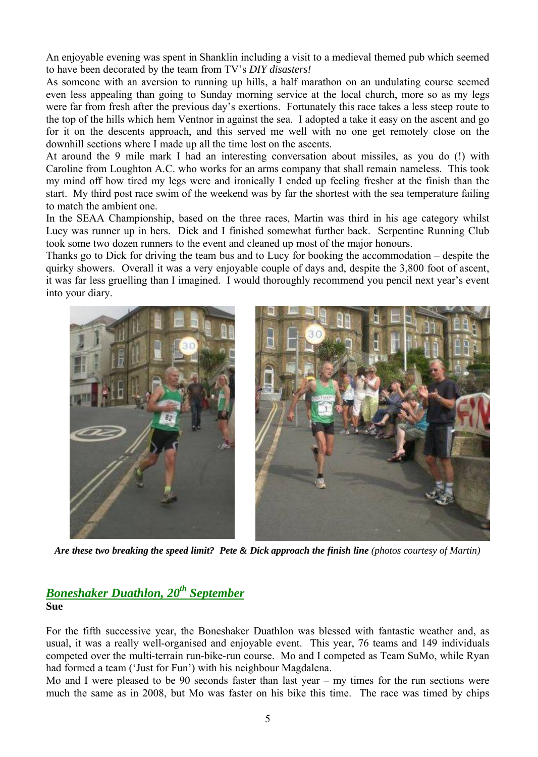An enjoyable evening was spent in Shanklin including a visit to a medieval themed pub which seemed to have been decorated by the team from TV's *DIY disasters!*

As someone with an aversion to running up hills, a half marathon on an undulating course seemed even less appealing than going to Sunday morning service at the local church, more so as my legs were far from fresh after the previous day's exertions. Fortunately this race takes a less steep route to the top of the hills which hem Ventnor in against the sea. I adopted a take it easy on the ascent and go for it on the descents approach, and this served me well with no one get remotely close on the downhill sections where I made up all the time lost on the ascents.

At around the 9 mile mark I had an interesting conversation about missiles, as you do (!) with Caroline from Loughton A.C. who works for an arms company that shall remain nameless. This took my mind off how tired my legs were and ironically I ended up feeling fresher at the finish than the start. My third post race swim of the weekend was by far the shortest with the sea temperature failing to match the ambient one.

In the SEAA Championship, based on the three races, Martin was third in his age category whilst Lucy was runner up in hers. Dick and I finished somewhat further back. Serpentine Running Club took some two dozen runners to the event and cleaned up most of the major honours.

Thanks go to Dick for driving the team bus and to Lucy for booking the accommodation – despite the quirky showers. Overall it was a very enjoyable couple of days and, despite the 3,800 foot of ascent, it was far less gruelling than I imagined. I would thoroughly recommend you pencil next year's event into your diary.



Are these two breaking the speed limit? Pete & Dick approach the finish line (photos courtesy of Martin)

# *Boneshaker Duathlon, 20 th September* **Sue**

For the fifth successive year, the Boneshaker Duathlon was blessed with fantastic weather and, as usual, it was a really well-organised and enjoyable event. This year, 76 teams and 149 individuals competed over the multi-terrain run-bike-run course. Mo and I competed as Team SuMo, while Ryan had formed a team ('Just for Fun') with his neighbour Magdalena.

Mo and I were pleased to be 90 seconds faster than last year – my times for the run sections were much the same as in 2008, but Mo was faster on his bike this time. The race was timed by chips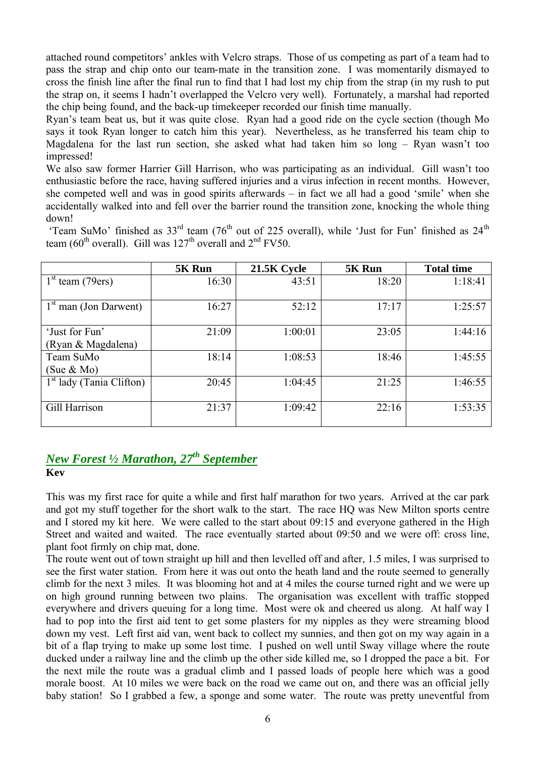attached round competitors' ankles with Velcro straps. Those of us competing as part of a team had to pass the strap and chip onto our team-mate in the transition zone. I was momentarily dismayed to cross the finish line after the final run to find that I had lost my chip from the strap (in my rush to put the strap on, it seems I hadn't overlapped the Velcro very well). Fortunately, a marshal had reported the chip being found, and the back-up timekeeper recorded our finish time manually.

Ryan's team beat us, but it was quite close. Ryan had a good ride on the cycle section (though Mo says it took Ryan longer to catch him this year). Nevertheless, as he transferred his team chip to Magdalena for the last run section, she asked what had taken him so long – Ryan wasn't too impressed!

We also saw former Harrier Gill Harrison, who was participating as an individual. Gill wasn't too enthusiastic before the race, having suffered injuries and a virus infection in recent months. However, she competed well and was in good spirits afterwards – in fact we all had a good 'smile' when she accidentally walked into and fell over the barrier round the transition zone, knocking the whole thing down!

|                                      | 5K Run | 21.5K Cycle | 5K Run | <b>Total time</b> |
|--------------------------------------|--------|-------------|--------|-------------------|
| $1st$ team (79ers)                   | 16:30  | 43:51       | 18:20  | 1:18:41           |
| $1st$ man (Jon Darwent)              | 16:27  | 52:12       | 17:17  | 1:25:57           |
| 'Just for Fun'<br>(Ryan & Magdalena) | 21:09  | 1:00:01     | 23:05  | 1:44:16           |

1<sup>st</sup> lady (Tania Clifton) 20:45 1:04:45 21:25 1:46:55

Gill Harrison 21:37 1:09:42 22:16 1:53:35

18:14 1:08:53 18:46 1:45:55

'Team SuMo' finished as  $33<sup>rd</sup>$  team (76<sup>th</sup> out of 225 overall), while 'Just for Fun' finished as  $24<sup>th</sup>$ team (60<sup>th</sup> overall). Gill was  $127<sup>th</sup>$  overall and  $2<sup>nd</sup>$  FV50.

# *New Forest ½ Marathon, 27th September* **Kev**

Team SuMo (Sue & Mo)

This was my first race for quite a while and first half marathon for two years. Arrived at the car park and got my stuff together for the short walk to the start. The race HQ was New Milton sports centre and I stored my kit here. We were called to the start about 09:15 and everyone gathered in the High Street and waited and waited. The race eventually started about 09:50 and we were off: cross line, plant foot firmly on chip mat, done.

The route went out of town straight up hill and then levelled off and after, 1.5 miles, I was surprised to see the first water station. From here it was out onto the heath land and the route seemed to generally climb for the next 3 miles. It was blooming hot and at 4 miles the course turned right and we were up on high ground running between two plains. The organisation was excellent with traffic stopped everywhere and drivers queuing for a long time. Most were ok and cheered us along. At half way I had to pop into the first aid tent to get some plasters for my nipples as they were streaming blood down my vest. Left first aid van, went back to collect my sunnies, and then got on my way again in a bit of a flap trying to make up some lost time. I pushed on well until Sway village where the route ducked under a railway line and the climb up the other side killed me, so I dropped the pace a bit. For the next mile the route was a gradual climb and I passed loads of people here which was a good morale boost. At 10 miles we were back on the road we came out on, and there was an official jelly baby station! So I grabbed a few, a sponge and some water. The route was pretty uneventful from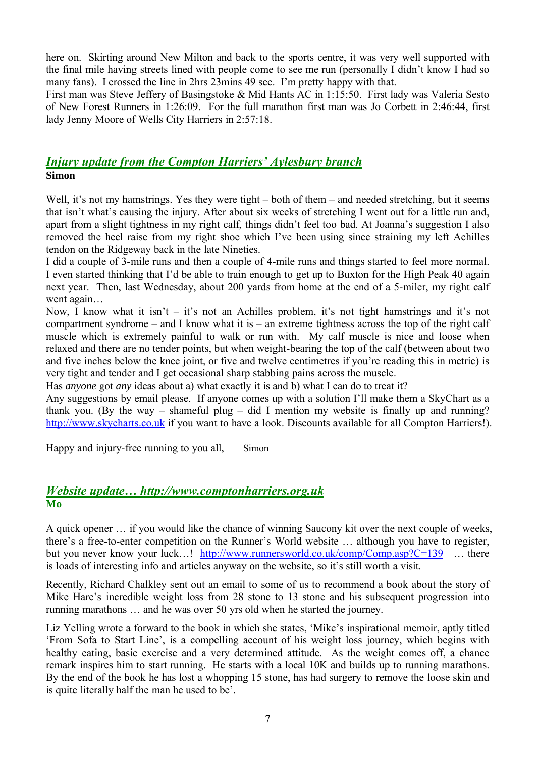here on. Skirting around New Milton and back to the sports centre, it was very well supported with the final mile having streets lined with people come to see me run (personally I didn't know I had so many fans). I crossed the line in 2hrs 23mins 49 sec. I'm pretty happy with that.

First man was Steve Jeffery of Basingstoke & Mid Hants AC in 1:15:50. First lady was Valeria Sesto of New Forest Runners in 1:26:09. For the full marathon first man was Jo Corbett in 2:46:44, first lady Jenny Moore of Wells City Harriers in 2:57:18.

# *Injury update from the Compton Harriers' Aylesbury branch* **Simon**

Well, it's not my hamstrings. Yes they were tight – both of them – and needed stretching, but it seems that isn't what's causing the injury. After about six weeks of stretching I went out for a little run and, apart from a slight tightness in my right calf, things didn't feel too bad. At Joanna's suggestion I also removed the heel raise from my right shoe which I've been using since straining my left Achilles tendon on the Ridgeway back in the late Nineties.

I did a couple of 3-mile runs and then a couple of 4-mile runs and things started to feel more normal. I even started thinking that I'd be able to train enough to get up to Buxton for the High Peak 40 again next year. Then, last Wednesday, about 200 yards from home at the end of a 5-miler, my right calf went again…

Now, I know what it isn't – it's not an Achilles problem, it's not tight hamstrings and it's not compartment syndrome – and I know what it is – an extreme tightness across the top of the right calf muscle which is extremely painful to walk or run with. My calf muscle is nice and loose when relaxed and there are no tender points, but when weight-bearing the top of the calf (between about two and five inches below the knee joint, or five and twelve centimetres if you're reading this in metric) is very tight and tender and I get occasional sharp stabbing pains across the muscle.

Has *anyone* got *any* ideas about a) what exactly it is and b) what I can do to treat it?

Any suggestions by email please. If anyone comes up with a solution I'll make them a SkyChart as a thank you. (By the way – shameful plug – did I mention my website is finally up and running? http://www.skycharts.co.uk if you want to have a look. Discounts available for all Compton Harriers!).

Happy and injury-free running to you all, Simon

# *Website update… http://www.comptonharriers.org.uk* **Mo**

A quick opener … if you would like the chance of winning Saucony kit over the next couple of weeks, there's a free-to-enter competition on the Runner's World website … although you have to register, but you never know your luck…! http://www.runnersworld.co.uk/comp/Comp.asp?C=139 … there is loads of interesting info and articles anyway on the website, so it's still worth a visit.

Recently, Richard Chalkley sent out an email to some of us to recommend a book about the story of Mike Hare's incredible weight loss from 28 stone to 13 stone and his subsequent progression into running marathons … and he was over 50 yrs old when he started the journey.

Liz Yelling wrote a forward to the book in which she states, 'Mike's inspirational memoir, aptly titled 'From Sofa to Start Line', is a compelling account of his weight loss journey, which begins with healthy eating, basic exercise and a very determined attitude. As the weight comes off, a chance remark inspires him to start running. He starts with a local 10K and builds up to running marathons. By the end of the book he has lost a whopping 15 stone, has had surgery to remove the loose skin and is quite literally half the man he used to be'.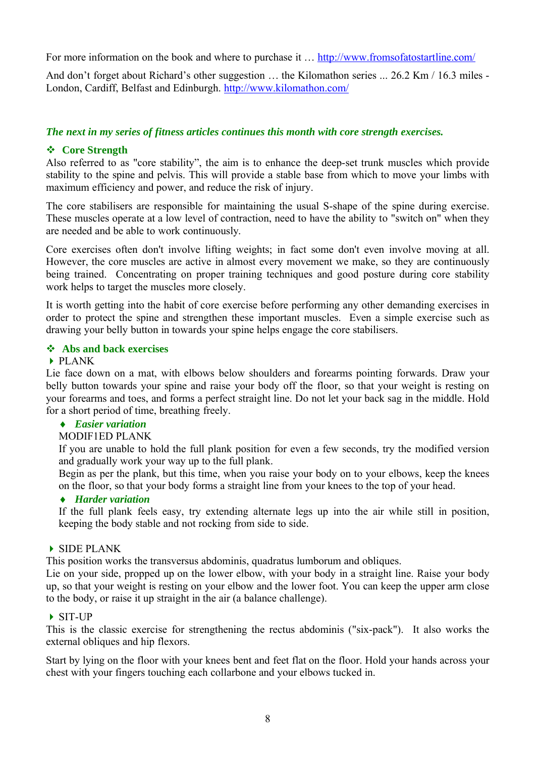For more information on the book and where to purchase it ... http://www.fromsofatostartline.com/

And don't forget about Richard's other suggestion ... the Kilomathon series ... 26.2 Km / 16.3 miles -London, Cardiff, Belfast and Edinburgh. http://www.kilomathon.com/

## *The next in my series of fitness articles continues this month with core strength exercises.*

### **Core Strength**

Also referred to as "core stability", the aim is to enhance the deep-set trunk muscles which provide stability to the spine and pelvis. This will provide a stable base from which to move your limbs with maximum efficiency and power, and reduce the risk of injury.

The core stabilisers are responsible for maintaining the usual S-shape of the spine during exercise. These muscles operate at a low level of contraction, need to have the ability to "switch on" when they are needed and be able to work continuously.

Core exercises often don't involve lifting weights; in fact some don't even involve moving at all. However, the core muscles are active in almost every movement we make, so they are continuously being trained. Concentrating on proper training techniques and good posture during core stability work helps to target the muscles more closely.

It is worth getting into the habit of core exercise before performing any other demanding exercises in order to protect the spine and strengthen these important muscles. Even a simple exercise such as drawing your belly button in towards your spine helps engage the core stabilisers.

#### **Abs and back exercises**

#### PLANK

Lie face down on a mat, with elbows below shoulders and forearms pointing forwards. Draw your belly button towards your spine and raise your body off the floor, so that your weight is resting on your forearms and toes, and forms a perfect straight line. Do not let your back sag in the middle. Hold for a short period of time, breathing freely.

## *Easier variation*

#### MODIF1ED PLANK

If you are unable to hold the full plank position for even a few seconds, try the modified version and gradually work your way up to the full plank.

Begin as per the plank, but this time, when you raise your body on to your elbows, keep the knees on the floor, so that your body forms a straight line from your knees to the top of your head.

### *Harder variation*

If the full plank feels easy, try extending alternate legs up into the air while still in position, keeping the body stable and not rocking from side to side.

#### SIDE PLANK

This position works the transversus abdominis, quadratus lumborum and obliques.

Lie on your side, propped up on the lower elbow, with your body in a straight line. Raise your body up, so that your weight is resting on your elbow and the lower foot. You can keep the upper arm close to the body, or raise it up straight in the air (a balance challenge).

#### SIT-UP

This is the classic exercise for strengthening the rectus abdominis ("six-pack"). It also works the external obliques and hip flexors.

Start by lying on the floor with your knees bent and feet flat on the floor. Hold your hands across your chest with your fingers touching each collarbone and your elbows tucked in.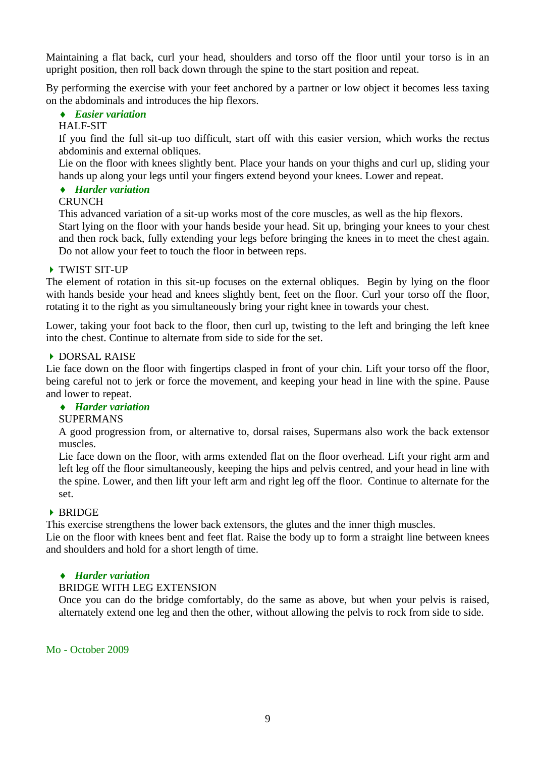Maintaining a flat back, curl your head, shoulders and torso off the floor until your torso is in an upright position, then roll back down through the spine to the start position and repeat.

By performing the exercise with your feet anchored by a partner or low object it becomes less taxing on the abdominals and introduces the hip flexors.

# *Easier variation*

#### HALF-SIT

If you find the full sit-up too difficult, start off with this easier version, which works the rectus abdominis and external obliques.

Lie on the floor with knees slightly bent. Place your hands on your thighs and curl up, sliding your hands up along your legs until your fingers extend beyond your knees. Lower and repeat.

### *Harder variation*

#### **CRUNCH**

This advanced variation of a sit-up works most of the core muscles, as well as the hip flexors. Start lying on the floor with your hands beside your head. Sit up, bringing your knees to your chest and then rock back, fully extending your legs before bringing the knees in to meet the chest again. Do not allow your feet to touch the floor in between reps.

### TWIST SIT-UP

The element of rotation in this sit-up focuses on the external obliques. Begin by lying on the floor with hands beside your head and knees slightly bent, feet on the floor. Curl your torso off the floor, rotating it to the right as you simultaneously bring your right knee in towards your chest.

Lower, taking your foot back to the floor, then curl up, twisting to the left and bringing the left knee into the chest. Continue to alternate from side to side for the set.

#### DORSAL RAISE

Lie face down on the floor with fingertips clasped in front of your chin. Lift your torso off the floor, being careful not to jerk or force the movement, and keeping your head in line with the spine. Pause and lower to repeat.

# *Harder variation*

#### SUPERMANS

A good progression from, or alternative to, dorsal raises, Supermans also work the back extensor muscles.

Lie face down on the floor, with arms extended flat on the floor overhead. Lift your right arm and left leg off the floor simultaneously, keeping the hips and pelvis centred, and your head in line with the spine. Lower, and then lift your left arm and right leg off the floor. Continue to alternate for the set.

#### **BRIDGE**

This exercise strengthens the lower back extensors, the glutes and the inner thigh muscles.

Lie on the floor with knees bent and feet flat. Raise the body up to form a straight line between knees and shoulders and hold for a short length of time.

#### *Harder variation*

# BRIDGE WITH LEG EXTENSION

Once you can do the bridge comfortably, do the same as above, but when your pelvis is raised, alternately extend one leg and then the other, without allowing the pelvis to rock from side to side.

Mo - October 2009